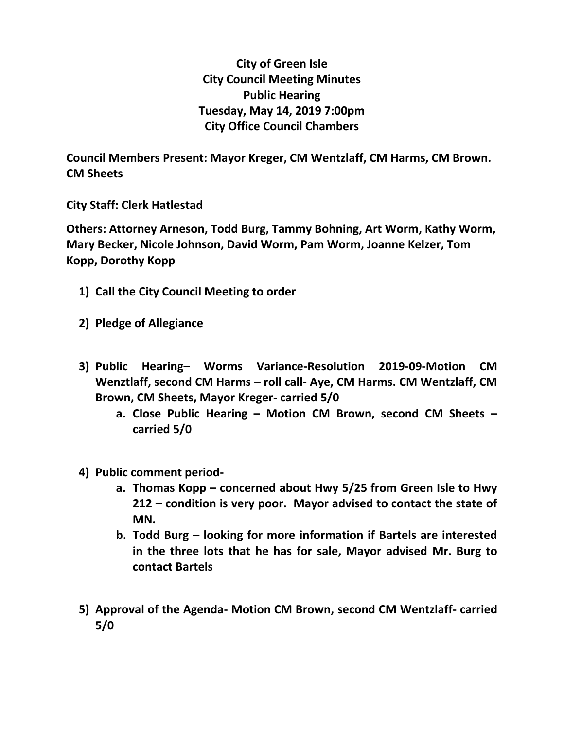**City of Green Isle City Council Meeting Minutes Public Hearing Tuesday, May 14, 2019 7:00pm City Office Council Chambers**

**Council Members Present: Mayor Kreger, CM Wentzlaff, CM Harms, CM Brown. CM Sheets**

**City Staff: Clerk Hatlestad**

**Others: Attorney Arneson, Todd Burg, Tammy Bohning, Art Worm, Kathy Worm, Mary Becker, Nicole Johnson, David Worm, Pam Worm, Joanne Kelzer, Tom Kopp, Dorothy Kopp**

- **1) Call the City Council Meeting to order**
- **2) Pledge of Allegiance**
- **3) Public Hearing– Worms Variance-Resolution 2019-09-Motion CM Wenztlaff, second CM Harms – roll call- Aye, CM Harms. CM Wentzlaff, CM Brown, CM Sheets, Mayor Kreger- carried 5/0**
	- **a. Close Public Hearing – Motion CM Brown, second CM Sheets – carried 5/0**
- **4) Public comment period**
	- **a. Thomas Kopp – concerned about Hwy 5/25 from Green Isle to Hwy 212 – condition is very poor. Mayor advised to contact the state of MN.**
	- **b. Todd Burg – looking for more information if Bartels are interested in the three lots that he has for sale, Mayor advised Mr. Burg to contact Bartels**
- **5) Approval of the Agenda- Motion CM Brown, second CM Wentzlaff- carried 5/0**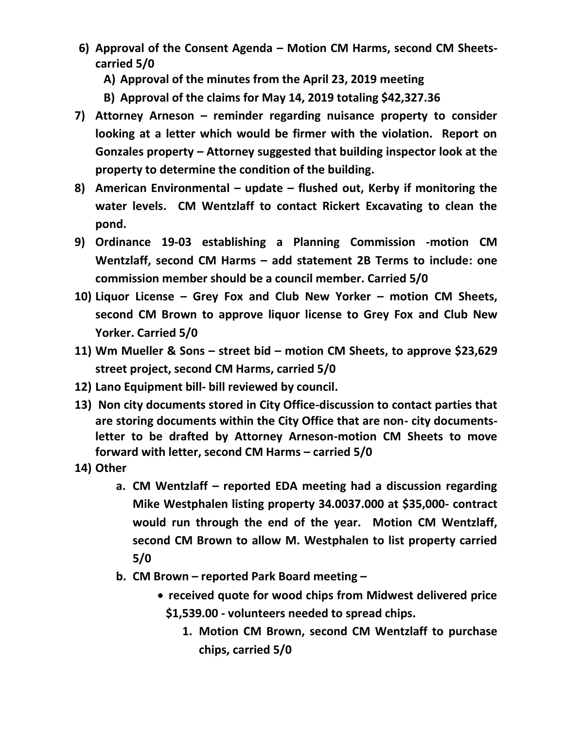- **6) Approval of the Consent Agenda – Motion CM Harms, second CM Sheetscarried 5/0**
	- **A) Approval of the minutes from the April 23, 2019 meeting**
	- **B) Approval of the claims for May 14, 2019 totaling \$42,327.36**
- **7) Attorney Arneson – reminder regarding nuisance property to consider looking at a letter which would be firmer with the violation. Report on Gonzales property – Attorney suggested that building inspector look at the property to determine the condition of the building.**
- **8) American Environmental – update – flushed out, Kerby if monitoring the water levels. CM Wentzlaff to contact Rickert Excavating to clean the pond.**
- **9) Ordinance 19-03 establishing a Planning Commission -motion CM Wentzlaff, second CM Harms – add statement 2B Terms to include: one commission member should be a council member. Carried 5/0**
- **10) Liquor License – Grey Fox and Club New Yorker – motion CM Sheets, second CM Brown to approve liquor license to Grey Fox and Club New Yorker. Carried 5/0**
- **11) Wm Mueller & Sons – street bid – motion CM Sheets, to approve \$23,629 street project, second CM Harms, carried 5/0**
- **12) Lano Equipment bill- bill reviewed by council.**
- **13) Non city documents stored in City Office-discussion to contact parties that are storing documents within the City Office that are non- city documentsletter to be drafted by Attorney Arneson-motion CM Sheets to move forward with letter, second CM Harms – carried 5/0**
- **14) Other**
	- **a. CM Wentzlaff – reported EDA meeting had a discussion regarding Mike Westphalen listing property 34.0037.000 at \$35,000- contract would run through the end of the year. Motion CM Wentzlaff, second CM Brown to allow M. Westphalen to list property carried 5/0**
	- **b. CM Brown – reported Park Board meeting –**
		- **received quote for wood chips from Midwest delivered price \$1,539.00 - volunteers needed to spread chips.** 
			- **1. Motion CM Brown, second CM Wentzlaff to purchase chips, carried 5/0**